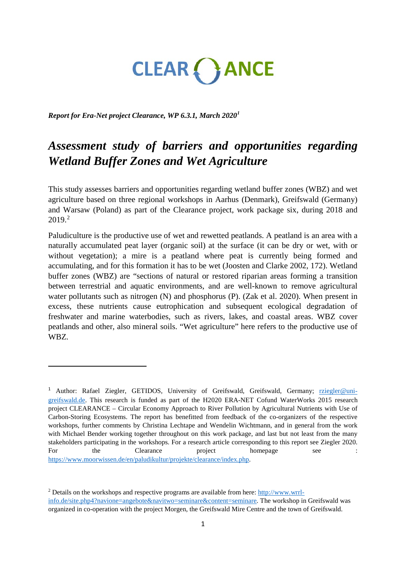# CLEAR ( ) ANCE

*Report for Era-Net project Clearance, WP 6.3.1, March 2020[1](#page-0-0)*

 $\overline{a}$ 

# *Assessment study of barriers and opportunities regarding Wetland Buffer Zones and Wet Agriculture*

This study assesses barriers and opportunities regarding wetland buffer zones (WBZ) and wet agriculture based on three regional workshops in Aarhus (Denmark), Greifswald (Germany) and Warsaw (Poland) as part of the Clearance project, work package six, during 2018 and 2019. [2](#page-0-1)

Paludiculture is the productive use of wet and rewetted peatlands. A peatland is an area with a naturally accumulated peat layer (organic soil) at the surface (it can be dry or wet, with or without vegetation); a mire is a peatland where peat is currently being formed and accumulating, and for this formation it has to be wet (Joosten and Clarke 2002, 172). Wetland buffer zones (WBZ) are "sections of natural or restored riparian areas forming a transition between terrestrial and aquatic environments, and are well-known to remove agricultural water pollutants such as nitrogen (N) and phosphorus (P). (Zak et al. 2020). When present in excess, these nutrients cause eutrophication and subsequent ecological degradation of freshwater and marine waterbodies, such as rivers, lakes, and coastal areas. WBZ cover peatlands and other, also mineral soils. "Wet agriculture" here refers to the productive use of WBZ.

<span id="page-0-0"></span><sup>&</sup>lt;sup>1</sup> Author: Rafael Ziegler, GETIDOS, University of Greifswald, Greifswald, Germany; [rziegler@uni](mailto:rziegler@uni-greifswald.de)[greifswald.de.](mailto:rziegler@uni-greifswald.de) This research is funded as part of the H2020 ERA-NET Cofund WaterWorks 2015 research project CLEARANCE – Circular Economy Approach to River Pollution by Agricultural Nutrients with Use of Carbon-Storing Ecosystems. The report has benefitted from feedback of the co-organizers of the respective workshops, further comments by Christina Lechtape and Wendelin Wichtmann, and in general from the work with Michael Bender working together throughout on this work package, and last but not least from the many stakeholders participating in the workshops. For a research article corresponding to this report see Ziegler 2020. For the Clearance project homepage see : [https://www.moorwissen.de/en/paludikultur/projekte/clearance/index.php.](https://www.moorwissen.de/en/paludikultur/projekte/clearance/index.php) 

<span id="page-0-1"></span><sup>2</sup> Details on the workshops and respective programs are available from here: [http://www.wrrl](http://www.wrrl-info.de/site.php4?navione=angebote&navitwo=seminare&content=seminare)[info.de/site.php4?navione=angebote&navitwo=seminare&content=seminare.](http://www.wrrl-info.de/site.php4?navione=angebote&navitwo=seminare&content=seminare) The workshop in Greifswald was organized in co-operation with the project Morgen, the Greifswald Mire Centre and the town of Greifswald.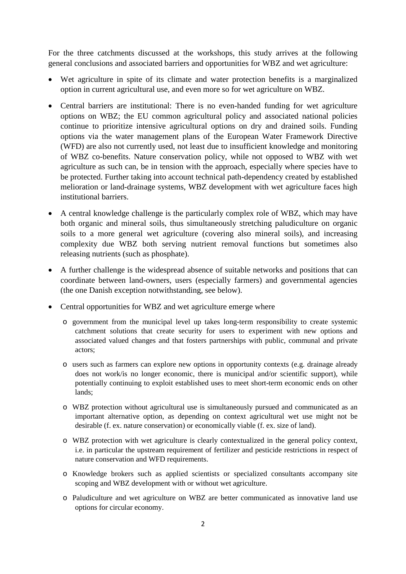For the three catchments discussed at the workshops, this study arrives at the following general conclusions and associated barriers and opportunities for WBZ and wet agriculture:

- Wet agriculture in spite of its climate and water protection benefits is a marginalized option in current agricultural use, and even more so for wet agriculture on WBZ.
- Central barriers are institutional: There is no even-handed funding for wet agriculture options on WBZ; the EU common agricultural policy and associated national policies continue to prioritize intensive agricultural options on dry and drained soils. Funding options via the water management plans of the European Water Framework Directive (WFD) are also not currently used, not least due to insufficient knowledge and monitoring of WBZ co-benefits. Nature conservation policy, while not opposed to WBZ with wet agriculture as such can, be in tension with the approach, especially where species have to be protected. Further taking into account technical path-dependency created by established melioration or land-drainage systems, WBZ development with wet agriculture faces high institutional barriers.
- A central knowledge challenge is the particularly complex role of WBZ, which may have both organic and mineral soils, thus simultaneously stretching paludiculture on organic soils to a more general wet agriculture (covering also mineral soils), and increasing complexity due WBZ both serving nutrient removal functions but sometimes also releasing nutrients (such as phosphate).
- A further challenge is the widespread absence of suitable networks and positions that can coordinate between land-owners, users (especially farmers) and governmental agencies (the one Danish exception notwithstanding, see below).
- Central opportunities for WBZ and wet agriculture emerge where
	- o government from the municipal level up takes long-term responsibility to create systemic catchment solutions that create security for users to experiment with new options and associated valued changes and that fosters partnerships with public, communal and private actors;
	- o users such as farmers can explore new options in opportunity contexts (e.g. drainage already does not work/is no longer economic, there is municipal and/or scientific support), while potentially continuing to exploit established uses to meet short-term economic ends on other lands;
	- o WBZ protection without agricultural use is simultaneously pursued and communicated as an important alternative option, as depending on context agricultural wet use might not be desirable (f. ex. nature conservation) or economically viable (f. ex. size of land).
	- o WBZ protection with wet agriculture is clearly contextualized in the general policy context, i.e. in particular the upstream requirement of fertilizer and pesticide restrictions in respect of nature conservation and WFD requirements.
	- o Knowledge brokers such as applied scientists or specialized consultants accompany site scoping and WBZ development with or without wet agriculture.
	- o Paludiculture and wet agriculture on WBZ are better communicated as innovative land use options for circular economy.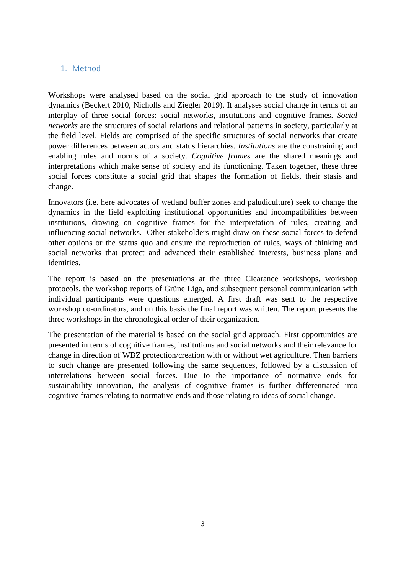# 1. Method

Workshops were analysed based on the social grid approach to the study of innovation dynamics (Beckert 2010, Nicholls and Ziegler 2019). It analyses social change in terms of an interplay of three social forces: social networks, institutions and cognitive frames. *Social networks* are the structures of social relations and relational patterns in society, particularly at the field level. Fields are comprised of the specific structures of social networks that create power differences between actors and status hierarchies. *Institutions* are the constraining and enabling rules and norms of a society. *Cognitive frames* are the shared meanings and interpretations which make sense of society and its functioning. Taken together, these three social forces constitute a social grid that shapes the formation of fields, their stasis and change.

Innovators (i.e. here advocates of wetland buffer zones and paludiculture) seek to change the dynamics in the field exploiting institutional opportunities and incompatibilities between institutions, drawing on cognitive frames for the interpretation of rules, creating and influencing social networks. Other stakeholders might draw on these social forces to defend other options or the status quo and ensure the reproduction of rules, ways of thinking and social networks that protect and advanced their established interests, business plans and identities.

The report is based on the presentations at the three Clearance workshops, workshop protocols, the workshop reports of Grüne Liga, and subsequent personal communication with individual participants were questions emerged. A first draft was sent to the respective workshop co-ordinators, and on this basis the final report was written. The report presents the three workshops in the chronological order of their organization.

The presentation of the material is based on the social grid approach. First opportunities are presented in terms of cognitive frames, institutions and social networks and their relevance for change in direction of WBZ protection/creation with or without wet agriculture. Then barriers to such change are presented following the same sequences, followed by a discussion of interrelations between social forces. Due to the importance of normative ends for sustainability innovation, the analysis of cognitive frames is further differentiated into cognitive frames relating to normative ends and those relating to ideas of social change.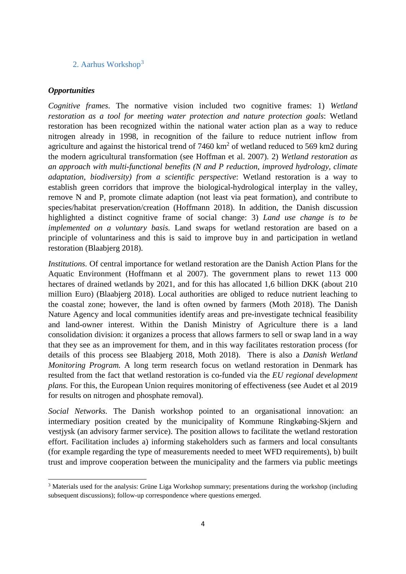# 2. Aarhus Workshop<sup>[3](#page-3-0)</sup>

#### *Opportunities*

 $\overline{a}$ 

*Cognitive frames*. The normative vision included two cognitive frames: 1) *Wetland restoration as a tool for meeting water protection and nature protection goals*: Wetland restoration has been recognized within the national water action plan as a way to reduce nitrogen already in 1998, in recognition of the failure to reduce nutrient inflow from agriculture and against the historical trend of  $7460 \text{ km}^2$  of wetland reduced to 569 km2 during the modern agricultural transformation (see Hoffman et al. 2007). 2) *Wetland restoration as an approach with multi-functional benefits (N and P reduction, improved hydrology, climate adaptation, biodiversity) from a scientific perspective*: Wetland restoration is a way to establish green corridors that improve the biological-hydrological interplay in the valley, remove N and P, promote climate adaption (not least via peat formation), and contribute to species/habitat preservation/creation (Hoffmann 2018). In addition, the Danish discussion highlighted a distinct cognitive frame of social change: 3) *Land use change is to be implemented on a voluntary basis.* Land swaps for wetland restoration are based on a principle of voluntariness and this is said to improve buy in and participation in wetland restoration (Blaabjerg 2018).

*Institutions.* Of central importance for wetland restoration are the Danish Action Plans for the Aquatic Environment (Hoffmann et al 2007). The government plans to rewet 113 000 hectares of drained wetlands by 2021, and for this has allocated 1,6 billion DKK (about 210 million Euro) (Blaabjerg 2018). Local authorities are obliged to reduce nutrient leaching to the coastal zone; however, the land is often owned by farmers (Moth 2018). The Danish Nature Agency and local communities identify areas and pre-investigate technical feasibility and land-owner interest. Within the Danish Ministry of Agriculture there is a land consolidation division: it organizes a process that allows farmers to sell or swap land in a way that they see as an improvement for them, and in this way facilitates restoration process (for details of this process see Blaabjerg 2018, Moth 2018). There is also a *Danish Wetland Monitoring Program.* A long term research focus on wetland restoration in Denmark has resulted from the fact that wetland restoration is co-funded via the *EU regional development plans.* For this, the European Union requires monitoring of effectiveness (see Audet et al 2019 for results on nitrogen and phosphate removal).

*Social Networks.* The Danish workshop pointed to an organisational innovation: an intermediary position created by the municipality of Kommune Ringkøbing-Skjern and vestjysk (an advisory farmer service). The position allows to facilitate the wetland restoration effort. Facilitation includes a) informing stakeholders such as farmers and local consultants (for example regarding the type of measurements needed to meet WFD requirements), b) built trust and improve cooperation between the municipality and the farmers via public meetings

<span id="page-3-0"></span><sup>3</sup> Materials used for the analysis: Grüne Liga Workshop summary; presentations during the workshop (including subsequent discussions); follow-up correspondence where questions emerged.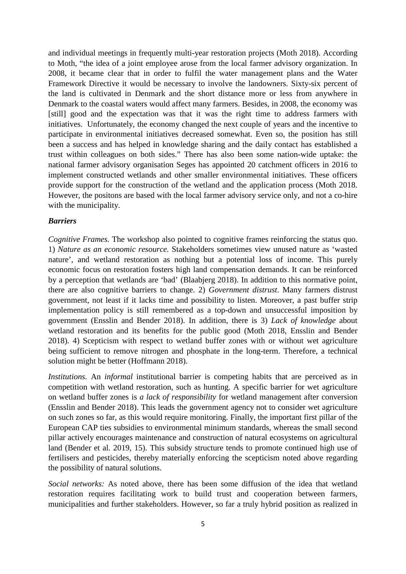and individual meetings in frequently multi-year restoration projects (Moth 2018). According to Moth, "the idea of a joint employee arose from the local farmer advisory organization. In 2008, it became clear that in order to fulfil the water management plans and the Water Framework Directive it would be necessary to involve the landowners. Sixty-six percent of the land is cultivated in Denmark and the short distance more or less from anywhere in Denmark to the coastal waters would affect many farmers. Besides, in 2008, the economy was [still] good and the expectation was that it was the right time to address farmers with initiatives. Unfortunately, the economy changed the next couple of years and the incentive to participate in environmental initiatives decreased somewhat. Even so, the position has still been a success and has helped in knowledge sharing and the daily contact has established a trust within colleagues on both sides." There has also been some nation-wide uptake: the national farmer advisory organisation Seges has appointed 20 catchment officers in 2016 to implement constructed wetlands and other smaller environmental initiatives. These officers provide support for the construction of the wetland and the application process (Moth 2018. However, the positons are based with the local farmer advisory service only, and not a co-hire with the municipality.

#### *Barriers*

*Cognitive Frames.* The workshop also pointed to cognitive frames reinforcing the status quo. 1) *Nature as an economic resource.* Stakeholders sometimes view unused nature as 'wasted nature', and wetland restoration as nothing but a potential loss of income. This purely economic focus on restoration fosters high land compensation demands. It can be reinforced by a perception that wetlands are 'bad' (Blaabjerg 2018). In addition to this normative point, there are also cognitive barriers to change. 2) *Government distrust*. Many farmers distrust government, not least if it lacks time and possibility to listen. Moreover, a past buffer strip implementation policy is still remembered as a top-down and unsuccessful imposition by government (Ensslin and Bender 2018). In addition, there is 3) *Lack of knowledge* about wetland restoration and its benefits for the public good (Moth 2018, Ensslin and Bender 2018). 4) Scepticism with respect to wetland buffer zones with or without wet agriculture being sufficient to remove nitrogen and phosphate in the long-term. Therefore, a technical solution might be better (Hoffmann 2018).

*Institutions.* An *informal* institutional barrier is competing habits that are perceived as in competition with wetland restoration, such as hunting. A specific barrier for wet agriculture on wetland buffer zones is *a lack of responsibility* for wetland management after conversion (Ensslin and Bender 2018). This leads the government agency not to consider wet agriculture on such zones so far, as this would require monitoring. Finally, the important first pillar of the European CAP ties subsidies to environmental minimum standards, whereas the small second pillar actively encourages maintenance and construction of natural ecosystems on agricultural land (Bender et al. 2019, 15). This subsidy structure tends to promote continued high use of fertilisers and pesticides, thereby materially enforcing the scepticism noted above regarding the possibility of natural solutions.

*Social networks:* As noted above, there has been some diffusion of the idea that wetland restoration requires facilitating work to build trust and cooperation between farmers, municipalities and further stakeholders. However, so far a truly hybrid position as realized in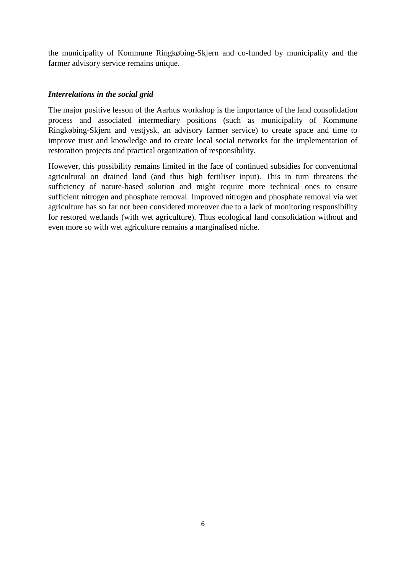the municipality of Kommune Ringkøbing-Skjern and co-funded by municipality and the farmer advisory service remains unique.

# *Interrelations in the social grid*

The major positive lesson of the Aarhus workshop is the importance of the land consolidation process and associated intermediary positions (such as municipality of Kommune Ringkøbing-Skjern and vestjysk, an advisory farmer service) to create space and time to improve trust and knowledge and to create local social networks for the implementation of restoration projects and practical organization of responsibility.

However, this possibility remains limited in the face of continued subsidies for conventional agricultural on drained land (and thus high fertiliser input). This in turn threatens the sufficiency of nature-based solution and might require more technical ones to ensure sufficient nitrogen and phosphate removal. Improved nitrogen and phosphate removal via wet agriculture has so far not been considered moreover due to a lack of monitoring responsibility for restored wetlands (with wet agriculture). Thus ecological land consolidation without and even more so with wet agriculture remains a marginalised niche.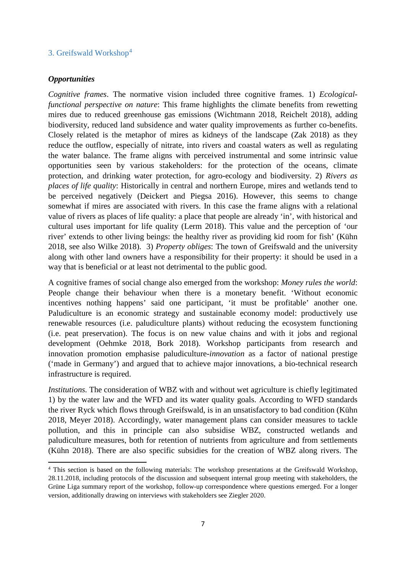# 3. Greifswald Workshop[4](#page-6-0)

#### *Opportunities*

 $\overline{a}$ 

*Cognitive frames*. The normative vision included three cognitive frames. 1) *Ecologicalfunctional perspective on nature*: This frame highlights the climate benefits from rewetting mires due to reduced greenhouse gas emissions (Wichtmann 2018, Reichelt 2018), adding biodiversity, reduced land subsidence and water quality improvements as further co-benefits. Closely related is the metaphor of mires as kidneys of the landscape (Zak 2018) as they reduce the outflow, especially of nitrate, into rivers and coastal waters as well as regulating the water balance. The frame aligns with perceived instrumental and some intrinsic value opportunities seen by various stakeholders: for the protection of the oceans, climate protection, and drinking water protection, for agro-ecology and biodiversity. 2) *Rivers as places of life quality*: Historically in central and northern Europe, mires and wetlands tend to be perceived negatively (Deickert and Piegsa 2016). However, this seems to change somewhat if mires are associated with rivers. In this case the frame aligns with a relational value of rivers as places of life quality: a place that people are already 'in', with historical and cultural uses important for life quality (Lerm 2018). This value and the perception of 'our river' extends to other living beings: the healthy river as providing kid room for fish' (Kühn 2018, see also Wilke 2018). 3) *Property obliges*: The town of Greifswald and the university along with other land owners have a responsibility for their property: it should be used in a way that is beneficial or at least not detrimental to the public good.

A cognitive frames of social change also emerged from the workshop: *Money rules the world*: People change their behaviour when there is a monetary benefit. 'Without economic incentives nothing happens' said one participant, 'it must be profitable' another one. Paludiculture is an economic strategy and sustainable economy model: productively use renewable resources (i.e. paludiculture plants) without reducing the ecosystem functioning (i.e. peat preservation). The focus is on new value chains and with it jobs and regional development (Oehmke 2018, Bork 2018). Workshop participants from research and innovation promotion emphasise paludiculture-*innovation* as a factor of national prestige ('made in Germany') and argued that to achieve major innovations, a bio-technical research infrastructure is required.

*Institutions.* The consideration of WBZ with and without wet agriculture is chiefly legitimated 1) by the water law and the WFD and its water quality goals. According to WFD standards the river Ryck which flows through Greifswald, is in an unsatisfactory to bad condition (Kühn 2018, Meyer 2018). Accordingly, water management plans can consider measures to tackle pollution, and this in principle can also subsidise WBZ, constructed wetlands and paludiculture measures, both for retention of nutrients from agriculture and from settlements (Kühn 2018). There are also specific subsidies for the creation of WBZ along rivers. The

<span id="page-6-0"></span><sup>4</sup> This section is based on the following materials: The workshop presentations at the Greifswald Workshop, 28.11.2018, including protocols of the discussion and subsequent internal group meeting with stakeholders, the Grüne Liga summary report of the workshop, follow-up correspondence where questions emerged. For a longer version, additionally drawing on interviews with stakeholders see Ziegler 2020.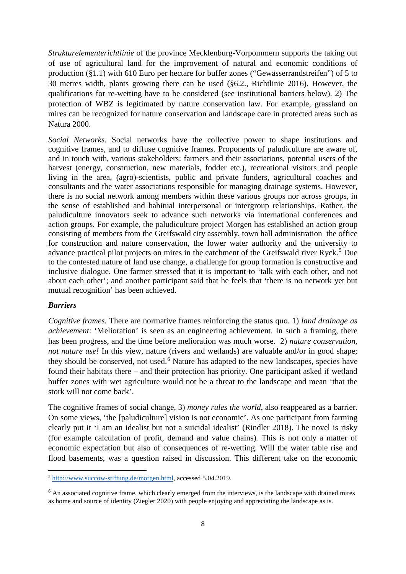*Strukturelementerichtlinie* of the province Mecklenburg-Vorpommern supports the taking out of use of agricultural land for the improvement of natural and economic conditions of production (§1.1) with 610 Euro per hectare for buffer zones ("Gewässerrandstreifen") of 5 to 30 metres width, plants growing there can be used (§6.2., Richtlinie 2016). However, the qualifications for re-wetting have to be considered (see institutional barriers below). 2) The protection of WBZ is legitimated by nature conservation law. For example, grassland on mires can be recognized for nature conservation and landscape care in protected areas such as Natura 2000.

*Social Networks.* Social networks have the collective power to shape institutions and cognitive frames, and to diffuse cognitive frames. Proponents of paludiculture are aware of, and in touch with, various stakeholders: farmers and their associations, potential users of the harvest (energy, construction, new materials, fodder etc.), recreational visitors and people living in the area, (agro)-scientists, public and private funders, agricultural coaches and consultants and the water associations responsible for managing drainage systems. However, there is no social network among members within these various groups nor across groups, in the sense of established and habitual interpersonal or intergroup relationships. Rather, the paludiculture innovators seek to advance such networks via international conferences and action groups. For example, the paludiculture project Morgen has established an action group consisting of members from the Greifswald city assembly, town hall administration the office for construction and nature conservation, the lower water authority and the university to advance practical pilot projects on mires in the catchment of the Greifswald river Ryck.<sup>[5](#page-7-0)</sup> Due to the contested nature of land use change, a challenge for group formation is constructive and inclusive dialogue. One farmer stressed that it is important to 'talk with each other, and not about each other'; and another participant said that he feels that 'there is no network yet but mutual recognition' has been achieved.

#### *Barriers*

 $\overline{a}$ 

*Cognitive frames.* There are normative frames reinforcing the status quo. 1) *land drainage as achievement*: 'Melioration' is seen as an engineering achievement. In such a framing, there has been progress, and the time before melioration was much worse. 2) *nature conservation, not nature use!* In this view, nature (rivers and wetlands) are valuable and/or in good shape; they should be conserved, not used.<sup>[6](#page-7-1)</sup> Nature has adapted to the new landscapes, species have found their habitats there – and their protection has priority. One participant asked if wetland buffer zones with wet agriculture would not be a threat to the landscape and mean 'that the stork will not come back'.

The cognitive frames of social change, 3) *money rules the world*, also reappeared as a barrier. On some views, 'the [paludiculture] vision is not economic'. As one participant from farming clearly put it 'I am an idealist but not a suicidal idealist' (Rindler 2018). The novel is risky (for example calculation of profit, demand and value chains)*.* This is not only a matter of economic expectation but also of consequences of re-wetting. Will the water table rise and flood basements, was a question raised in discussion. This different take on the economic

<span id="page-7-0"></span><sup>5</sup> [http://www.succow-stiftung.de/morgen.html,](http://www.succow-stiftung.de/morgen.html) accessed 5.04.2019.

<span id="page-7-1"></span><sup>&</sup>lt;sup>6</sup> An associated cognitive frame, which clearly emerged from the interviews, is the landscape with drained mires as home and source of identity (Ziegler 2020) with people enjoying and appreciating the landscape as is.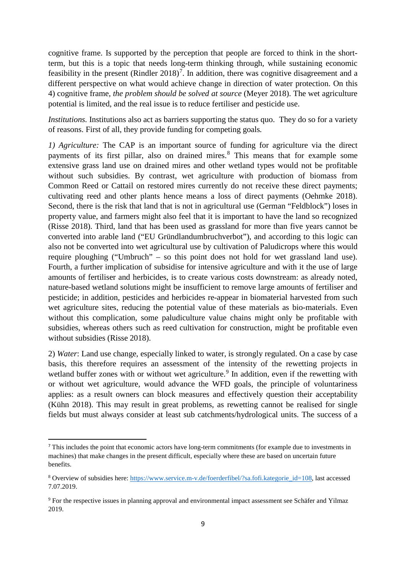cognitive frame. Is supported by the perception that people are forced to think in the shortterm, but this is a topic that needs long-term thinking through, while sustaining economic feasibility in the present (Rindler  $2018$ )<sup>[7](#page-8-0)</sup>. In addition, there was cognitive disagreement and a different perspective on what would achieve change in direction of water protection. On this 4) cognitive frame, *the problem should be solved at source* (Meyer 2018). The wet agriculture potential is limited, and the real issue is to reduce fertiliser and pesticide use.

*Institutions.* Institutions also act as barriers supporting the status quo. They do so for a variety of reasons. First of all, they provide funding for competing goals*.* 

*1) Agriculture:* The CAP is an important source of funding for agriculture via the direct payments of its first pillar, also on drained mires.<sup>[8](#page-8-1)</sup> This means that for example some extensive grass land use on drained mires and other wetland types would not be profitable without such subsidies. By contrast, wet agriculture with production of biomass from Common Reed or Cattail on restored mires currently do not receive these direct payments; cultivating reed and other plants hence means a loss of direct payments (Oehmke 2018). Second, there is the risk that land that is not in agricultural use (German "Feldblock") loses in property value, and farmers might also feel that it is important to have the land so recognized (Risse 2018). Third, land that has been used as grassland for more than five years cannot be converted into arable land ("EU Gründlandumbruchverbot"), and according to this logic can also not be converted into wet agricultural use by cultivation of Paludicrops where this would require ploughing ("Umbruch" – so this point does not hold for wet grassland land use). Fourth, a further implication of subsidise for intensive agriculture and with it the use of large amounts of fertiliser and herbicides, is to create various costs downstream: as already noted, nature-based wetland solutions might be insufficient to remove large amounts of fertiliser and pesticide; in addition, pesticides and herbicides re-appear in biomaterial harvested from such wet agriculture sites, reducing the potential value of these materials as bio-materials. Even without this complication, some paludiculture value chains might only be profitable with subsidies, whereas others such as reed cultivation for construction, might be profitable even without subsidies (Risse 2018).

2) *Water*: Land use change, especially linked to water, is strongly regulated. On a case by case basis, this therefore requires an assessment of the intensity of the rewetting projects in wetland buffer zones with or without wet agriculture.<sup>[9](#page-8-2)</sup> In addition, even if the rewetting with or without wet agriculture, would advance the WFD goals, the principle of voluntariness applies: as a result owners can block measures and effectively question their acceptability (Kühn 2018). This may result in great problems, as rewetting cannot be realised for single fields but must always consider at least sub catchments/hydrological units. The success of a

<span id="page-8-0"></span> <sup>7</sup> This includes the point that economic actors have long-term commitments (for example due to investments in machines) that make changes in the present difficult, especially where these are based on uncertain future benefits.

<span id="page-8-1"></span><sup>8</sup> Overview of subsidies here: [https://www.service.m-v.de/foerderfibel/?sa.fofi.kategorie\\_id=108,](https://www.service.m-v.de/foerderfibel/?sa.fofi.kategorie_id=108) last accessed 7.07.2019.

<span id="page-8-2"></span><sup>9</sup> For the respective issues in planning approval and environmental impact assessment see Schäfer and Yilmaz 2019.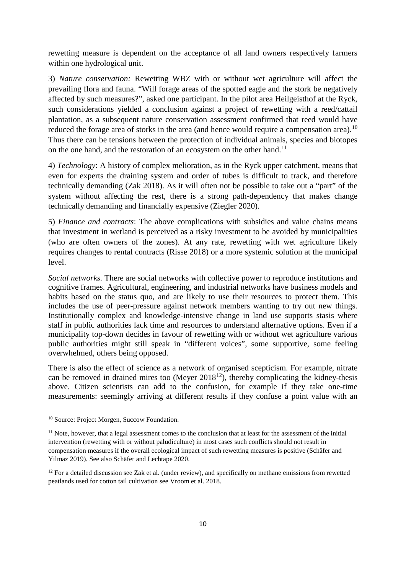rewetting measure is dependent on the acceptance of all land owners respectively farmers within one hydrological unit.

3) *Nature conservation:* Rewetting WBZ with or without wet agriculture will affect the prevailing flora and fauna. "Will forage areas of the spotted eagle and the stork be negatively affected by such measures?", asked one participant. In the pilot area Heilgeisthof at the Ryck, such considerations yielded a conclusion against a project of rewetting with a reed/cattail plantation, as a subsequent nature conservation assessment confirmed that reed would have reduced the forage area of storks in the area (and hence would require a compensation area).<sup>[10](#page-9-0)</sup> Thus there can be tensions between the protection of individual animals, species and biotopes on the one hand, and the restoration of an ecosystem on the other hand.<sup>[11](#page-9-1)</sup>

4) *Technology*: A history of complex melioration, as in the Ryck upper catchment, means that even for experts the draining system and order of tubes is difficult to track, and therefore technically demanding (Zak 2018). As it will often not be possible to take out a "part" of the system without affecting the rest, there is a strong path-dependency that makes change technically demanding and financially expensive (Ziegler 2020).

5) *Finance and contracts*: The above complications with subsidies and value chains means that investment in wetland is perceived as a risky investment to be avoided by municipalities (who are often owners of the zones). At any rate, rewetting with wet agriculture likely requires changes to rental contracts (Risse 2018) or a more systemic solution at the municipal level.

*Social networks.* There are social networks with collective power to reproduce institutions and cognitive frames. Agricultural, engineering, and industrial networks have business models and habits based on the status quo, and are likely to use their resources to protect them. This includes the use of peer-pressure against network members wanting to try out new things. Institutionally complex and knowledge-intensive change in land use supports stasis where staff in public authorities lack time and resources to understand alternative options. Even if a municipality top-down decides in favour of rewetting with or without wet agriculture various public authorities might still speak in "different voices", some supportive, some feeling overwhelmed, others being opposed.

There is also the effect of science as a network of organised scepticism. For example, nitrate can be removed in drained mires too (Meyer  $2018^{12}$ ), thereby complicating the kidney-thesis above. Citizen scientists can add to the confusion, for example if they take one-time measurements: seemingly arriving at different results if they confuse a point value with an

 $\overline{a}$ 

<span id="page-9-0"></span><sup>10</sup> Source: Project Morgen, Succow Foundation.

<span id="page-9-1"></span><sup>&</sup>lt;sup>11</sup> Note, however, that a legal assessment comes to the conclusion that at least for the assessment of the initial intervention (rewetting with or without paludiculture) in most cases such conflicts should not result in compensation measures if the overall ecological impact of such rewetting measures is positive (Schäfer and Yilmaz 2019). See also Schäfer and Lechtape 2020.

<span id="page-9-2"></span> $12$  For a detailed discussion see Zak et al. (under review), and specifically on methane emissions from rewetted peatlands used for cotton tail cultivation see Vroom et al. 2018.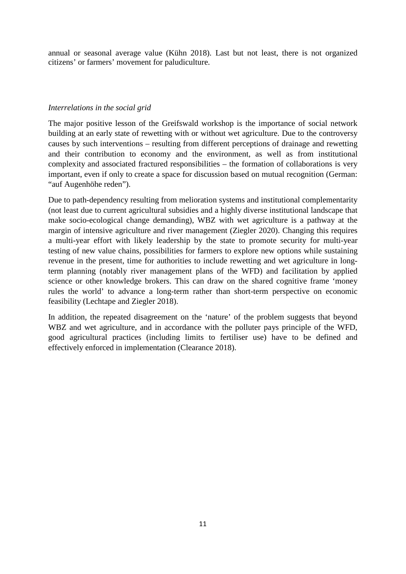annual or seasonal average value (Kühn 2018). Last but not least, there is not organized citizens' or farmers' movement for paludiculture.

# *Interrelations in the social grid*

The major positive lesson of the Greifswald workshop is the importance of social network building at an early state of rewetting with or without wet agriculture. Due to the controversy causes by such interventions – resulting from different perceptions of drainage and rewetting and their contribution to economy and the environment, as well as from institutional complexity and associated fractured responsibilities – the formation of collaborations is very important, even if only to create a space for discussion based on mutual recognition (German: "auf Augenhöhe reden").

Due to path-dependency resulting from melioration systems and institutional complementarity (not least due to current agricultural subsidies and a highly diverse institutional landscape that make socio-ecological change demanding), WBZ with wet agriculture is a pathway at the margin of intensive agriculture and river management (Ziegler 2020). Changing this requires a multi-year effort with likely leadership by the state to promote security for multi-year testing of new value chains, possibilities for farmers to explore new options while sustaining revenue in the present, time for authorities to include rewetting and wet agriculture in longterm planning (notably river management plans of the WFD) and facilitation by applied science or other knowledge brokers. This can draw on the shared cognitive frame 'money rules the world' to advance a long-term rather than short-term perspective on economic feasibility (Lechtape and Ziegler 2018).

In addition, the repeated disagreement on the 'nature' of the problem suggests that beyond WBZ and wet agriculture, and in accordance with the polluter pays principle of the WFD, good agricultural practices (including limits to fertiliser use) have to be defined and effectively enforced in implementation (Clearance 2018).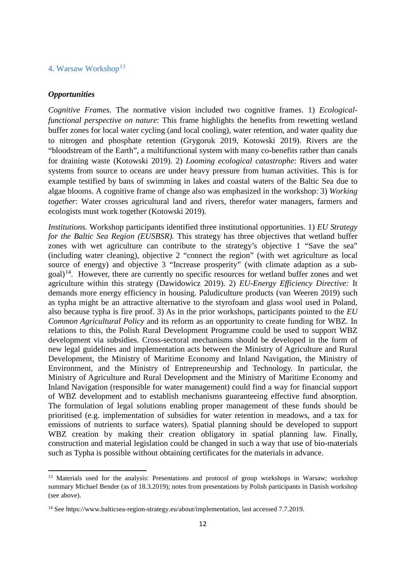# 4. Warsaw Workshop<sup>[13](#page-11-0)</sup>

#### *Opportunities*

l

*Cognitive Frames.* The normative vision included two cognitive frames. 1) *Ecologicalfunctional perspective on nature*: This frame highlights the benefits from rewetting wetland buffer zones for local water cycling (and local cooling), water retention, and water quality due to nitrogen and phosphate retention (Grygoruk 2019, Kotowski 2019). Rivers are the "bloodstream of the Earth", a multifunctional system with many co-benefits rather than canals for draining waste (Kotowski 2019). 2) *Looming ecological catastrophe*: Rivers and water systems from source to oceans are under heavy pressure from human activities. This is for example testified by bans of swimming in lakes and coastal waters of the Baltic Sea due to algae blooms. A cognitive frame of change also was emphasized in the workshop: 3) *Working together*: Water crosses agricultural land and rivers, therefor water managers, farmers and ecologists must work together (Kotowski 2019).

*Institutions.* Workshop participants identified three institutional opportunities. 1) *EU Strategy for the Baltic Sea Region (EUSBSR)*. This strategy has three objectives that wetland buffer zones with wet agriculture can contribute to the strategy's objective 1 "Save the sea" (including water cleaning), objective 2 "connect the region" (with wet agriculture as local source of energy) and objective 3 "Increase prosperity" (with climate adaption as a sub- $\gamma$  goal)<sup>[14](#page-11-1)</sup>. However, there are currently no specific resources for wetland buffer zones and wet agriculture within this strategy (Dawidowicz 2019). 2) *EU-Energy Efficiency Directive:* It demands more energy efficiency in housing. Paludiculture products (van Weeren 2019) such as typha might be an attractive alternative to the styrofoam and glass wool used in Poland, also because typha is fire proof. 3) As in the prior workshops, participants pointed to the *EU Common Agricultural Policy* and its reform as an opportunity to create funding for WBZ. In relations to this, the Polish Rural Development Programme could be used to support WBZ development via subsidies. Cross-sectoral mechanisms should be developed in the form of new legal guidelines and implementation acts between the Ministry of Agriculture and Rural Development, the Ministry of Maritime Economy and Inland Navigation, the Ministry of Environment, and the Ministry of Entrepreneurship and Technology. In particular, the Ministry of Agriculture and Rural Development and the Ministry of Maritime Economy and Inland Navigation (responsible for water management) could find a way for financial support of WBZ development and to establish mechanisms guaranteeing effective fund absorption. The formulation of legal solutions enabling proper management of these funds should be prioritised (e.g. implementation of subsidies for water retention in meadows, and a tax for emissions of nutrients to surface waters). Spatial planning should be developed to support WBZ creation by making their creation obligatory in spatial planning law. Finally, construction and material legislation could be changed in such a way that use of bio-materials such as Typha is possible without obtaining certificates for the materials in advance.

<span id="page-11-0"></span><sup>&</sup>lt;sup>13</sup> Materials used for the analysis: Presentations and protocol of group workshops in Warsaw; workshop summary Michael Bender (as of 18.3.2019); notes from presentations by Polish participants in Danish workshop (see above).

<span id="page-11-1"></span><sup>&</sup>lt;sup>14</sup> See [https://www.balticsea-region-strategy.eu/about/implementation,](https://www.balticsea-region-strategy.eu/about/implementation) last accessed 7.7.2019.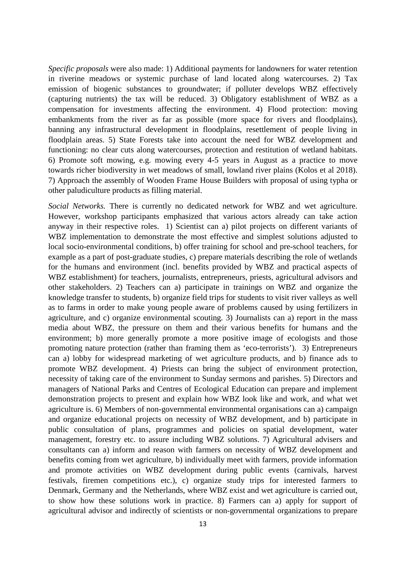*Specific proposals* were also made: 1) Additional payments for landowners for water retention in riverine meadows or systemic purchase of land located along watercourses. 2) Tax emission of biogenic substances to groundwater; if polluter develops WBZ effectively (capturing nutrients) the tax will be reduced. 3) Obligatory establishment of WBZ as a compensation for investments affecting the environment. 4) Flood protection: moving embankments from the river as far as possible (more space for rivers and floodplains), banning any infrastructural development in floodplains, resettlement of people living in floodplain areas. 5) State Forests take into account the need for WBZ development and functioning: no clear cuts along watercourses, protection and restitution of wetland habitats. 6) Promote soft mowing, e.g. mowing every 4-5 years in August as a practice to move towards richer biodiversity in wet meadows of small, lowland river plains (Kolos et al 2018). 7) Approach the assembly of Wooden Frame House Builders with proposal of using typha or other paludiculture products as filling material.

*Social Networks.* There is currently no dedicated network for WBZ and wet agriculture. However, workshop participants emphasized that various actors already can take action anyway in their respective roles. 1) Scientist can a) pilot projects on different variants of WBZ implementation to demonstrate the most effective and simplest solutions adjusted to local socio-environmental conditions, b) offer training for school and pre-school teachers, for example as a part of post-graduate studies, c) prepare materials describing the role of wetlands for the humans and environment (incl. benefits provided by WBZ and practical aspects of WBZ establishment) for teachers, journalists, entrepreneurs, priests, agricultural advisors and other stakeholders. 2) Teachers can a) participate in trainings on WBZ and organize the knowledge transfer to students, b) organize field trips for students to visit river valleys as well as to farms in order to make young people aware of problems caused by using fertilizers in agriculture, and c) organize environmental scouting. 3) Journalists can a) report in the mass media about WBZ, the pressure on them and their various benefits for humans and the environment; b) more generally promote a more positive image of ecologists and those promoting nature protection (rather than framing them as 'eco-terrorists'). 3) Entrepreneurs can a) lobby for widespread marketing of wet agriculture products, and b) finance ads to promote WBZ development. 4) Priests can bring the subject of environment protection, necessity of taking care of the environment to Sunday sermons and parishes. 5) Directors and managers of National Parks and Centres of Ecological Education can prepare and implement demonstration projects to present and explain how WBZ look like and work, and what wet agriculture is. 6) Members of non-governmental environmental organisations can a) campaign and organize educational projects on necessity of WBZ development, and b) participate in public consultation of plans, programmes and policies on spatial development, water management, forestry etc. to assure including WBZ solutions. 7) Agricultural advisers and consultants can a) inform and reason with farmers on necessity of WBZ development and benefits coming from wet agriculture, b) individually meet with farmers, provide information and promote activities on WBZ development during public events (carnivals, harvest festivals, firemen competitions etc.), c) organize study trips for interested farmers to Denmark, Germany and the Netherlands, where WBZ exist and wet agriculture is carried out, to show how these solutions work in practice. 8) Farmers can a) apply for support of agricultural advisor and indirectly of scientists or non-governmental organizations to prepare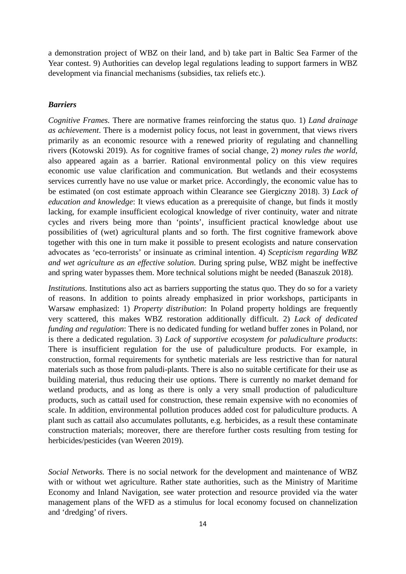a demonstration project of WBZ on their land, and b) take part in Baltic Sea Farmer of the Year contest. 9) Authorities can develop legal regulations leading to support farmers in WBZ development via financial mechanisms (subsidies, tax reliefs etc.).

#### *Barriers*

*Cognitive Frames.* There are normative frames reinforcing the status quo. 1) *Land drainage as achievement*. There is a modernist policy focus, not least in government, that views rivers primarily as an economic resource with a renewed priority of regulating and channelling rivers (Kotowski 2019). As for cognitive frames of social change, 2) *money rules the world*, also appeared again as a barrier. Rational environmental policy on this view requires economic use value clarification and communication. But wetlands and their ecosystems services currently have no use value or market price. Accordingly, the economic value has to be estimated (on cost estimate approach within Clearance see Giergiczny 2018). 3) *Lack of education and knowledge*: It views education as a prerequisite of change, but finds it mostly lacking, for example insufficient ecological knowledge of river continuity, water and nitrate cycles and rivers being more than 'points', insufficient practical knowledge about use possibilities of (wet) agricultural plants and so forth. The first cognitive framework above together with this one in turn make it possible to present ecologists and nature conservation advocates as 'eco-terrorists' or insinuate as criminal intention. 4) *Scepticism regarding WBZ and wet agriculture as an effective solution*. During spring pulse, WBZ might be ineffective and spring water bypasses them. More technical solutions might be needed (Banaszuk 2018).

*Institutions.* Institutions also act as barriers supporting the status quo. They do so for a variety of reasons. In addition to points already emphasized in prior workshops, participants in Warsaw emphasized: 1) *Property distribution*: In Poland property holdings are frequently very scattered, this makes WBZ restoration additionally difficult. 2) *Lack of dedicated funding and regulation*: There is no dedicated funding for wetland buffer zones in Poland, nor is there a dedicated regulation. 3) *Lack of supportive ecosystem for paludiculture products*: There is insufficient regulation for the use of paludiculture products. For example, in construction, formal requirements for synthetic materials are less restrictive than for natural materials such as those from paludi-plants. There is also no suitable certificate for their use as building material, thus reducing their use options. There is currently no market demand for wetland products, and as long as there is only a very small production of paludiculture products, such as cattail used for construction, these remain expensive with no economies of scale. In addition, environmental pollution produces added cost for paludiculture products. A plant such as cattail also accumulates pollutants, e.g. herbicides, as a result these contaminate construction materials; moreover, there are therefore further costs resulting from testing for herbicides/pesticides (van Weeren 2019).

*Social Networks.* There is no social network for the development and maintenance of WBZ with or without wet agriculture. Rather state authorities, such as the Ministry of Maritime Economy and Inland Navigation, see water protection and resource provided via the water management plans of the WFD as a stimulus for local economy focused on channelization and 'dredging' of rivers.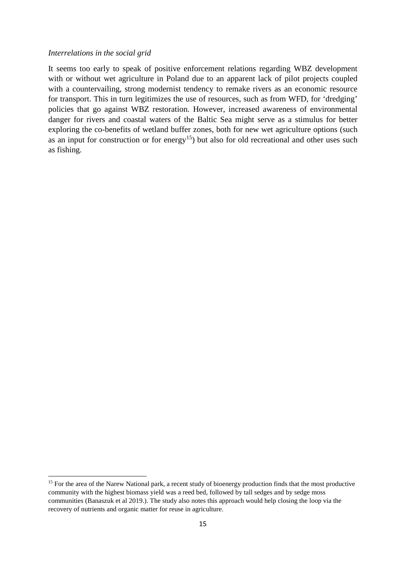#### *Interrelations in the social grid*

 $\overline{a}$ 

It seems too early to speak of positive enforcement relations regarding WBZ development with or without wet agriculture in Poland due to an apparent lack of pilot projects coupled with a countervailing, strong modernist tendency to remake rivers as an economic resource for transport. This in turn legitimizes the use of resources, such as from WFD, for 'dredging' policies that go against WBZ restoration. However, increased awareness of environmental danger for rivers and coastal waters of the Baltic Sea might serve as a stimulus for better exploring the co-benefits of wetland buffer zones, both for new wet agriculture options (such as an input for construction or for energy<sup>15</sup>) but also for old recreational and other uses such as fishing.

<span id="page-14-0"></span><sup>&</sup>lt;sup>15</sup> For the area of the Narew National park, a recent study of bioenergy production finds that the most productive community with the highest biomass yield was a reed bed, followed by tall sedges and by sedge moss communities (Banaszuk et al 2019.). The study also notes this approach would help closing the loop via the recovery of nutrients and organic matter for reuse in agriculture.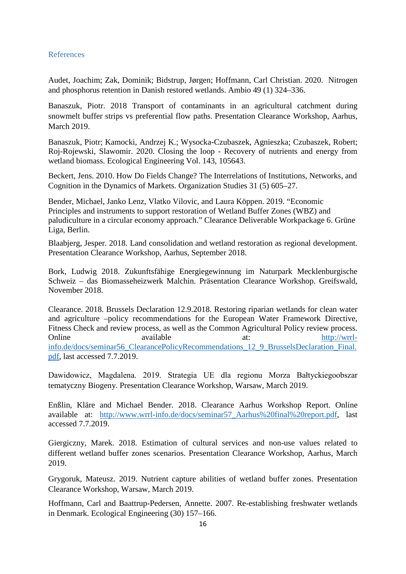### References

Audet, Joachim; Zak, Dominik; Bidstrup, Jørgen; Hoffmann, Carl Christian. 2020. Nitrogen and phosphorus retention in Danish restored wetlands. Ambio 49 (1) 324–336.

Banaszuk, Piotr. 2018 [Transport of contaminants in an agricultural catchment during](http://www.wrrl-info.de/docs/Piotr%20Banaszuk%20-%20Transport%20of%20contaminants%20in%20an%20agricultural%20catchment%20during%20snowmelt%20buffer%20strips%20vs%20preferential%20flow%20paths.pdf)  [snowmelt buffer strips vs preferential flow paths](http://www.wrrl-info.de/docs/Piotr%20Banaszuk%20-%20Transport%20of%20contaminants%20in%20an%20agricultural%20catchment%20during%20snowmelt%20buffer%20strips%20vs%20preferential%20flow%20paths.pdf). Presentation Clearance Workshop, Aarhus, March 2019.

Banaszuk, Piotr; Kamocki, Andrzej K.; Wysocka-Czubaszek, Agnieszka; Czubaszek, Robert; Roj-Rojewski, Slawomir. 2020. Closing the loop - Recovery of nutrients and energy from wetland biomass. Ecological Engineering Vol. 143, 105643.

Beckert, Jens. 2010. How Do Fields Change? The Interrelations of Institutions, Networks, and Cognition in the Dynamics of Markets. Organization Studies 31 (5) 605–27.

Bender, Michael, Janko Lenz, Vlatko Vilovic, and Laura Köppen. 2019. "Economic Principles and instruments to support restoration of Wetland Buffer Zones (WBZ) and paludiculture in a circular economy approach." Clearance Deliverable Workpackage 6. Grüne Liga, Berlin.

Blaabjerg, Jesper. 2018. Land consolidation and wetland restoration as regional development. Presentation Clearance Workshop, Aarhus, September 2018.

Bork, Ludwig 2018. Zukunftsfähige Energiegewinnung im Naturpark Mecklenburgische Schweiz – das Biomasseheizwerk Malchin. Präsentation Clearance Workshop. Greifswald, November 2018.

Clearance. 2018. Brussels Declaration 12.9.2018. Restoring riparian wetlands for clean water and agriculture –policy recommendations for the European Water Framework Directive, Fitness Check and review process, as well as the Common Agricultural Policy review process. Online available available at: [http://wrrl](http://wrrl-info.de/docs/seminar56_ClearancePolicyRecommendations_12_9_BrusselsDeclaration_Final.pdf)[info.de/docs/seminar56\\_ClearancePolicyRecommendations\\_12\\_9\\_BrusselsDeclaration\\_Final.](http://wrrl-info.de/docs/seminar56_ClearancePolicyRecommendations_12_9_BrusselsDeclaration_Final.pdf) [pdf,](http://wrrl-info.de/docs/seminar56_ClearancePolicyRecommendations_12_9_BrusselsDeclaration_Final.pdf) last accessed 7.7.2019.

Dawidowicz, Magdalena. 2019. Strategia UE dla regionu Morza Bałtyckiegoobszar tematyczny Biogeny. Presentation Clearance Workshop, Warsaw, March 2019.

Enßlin, Kläre and Michael Bender. 2018. Clearance Aarhus Workshop Report. Online available at: [http://www.wrrl-info.de/docs/seminar57\\_Aarhus%20final%20report.pdf,](http://www.wrrl-info.de/docs/seminar57_Aarhus%20final%20report.pdf) last accessed 7.7.2019.

Giergiczny, Marek. 2018. [Estimation of cultural services and](http://www.wrrl-info.de/docs/Marek%20Giergiczny%20-%20Estamation%20of%20cultural%20services%20and%20non-use%20values%20related%20to%20different%20WBZ%20scenarios.pdf) non-use values related to [different wetland buffer zones scenarios.](http://www.wrrl-info.de/docs/Marek%20Giergiczny%20-%20Estamation%20of%20cultural%20services%20and%20non-use%20values%20related%20to%20different%20WBZ%20scenarios.pdf) Presentation Clearance Workshop, Aarhus, March 2019.

Grygoruk, Mateusz. 2019. Nutrient capture abilities of wetland buffer zones. Presentation Clearance Workshop, Warsaw, March 2019.

Hoffmann, Carl and Baattrup-Pedersen, Annette. 2007. Re-establishing freshwater wetlands in Denmark. Ecological Engineering (30) 157–166.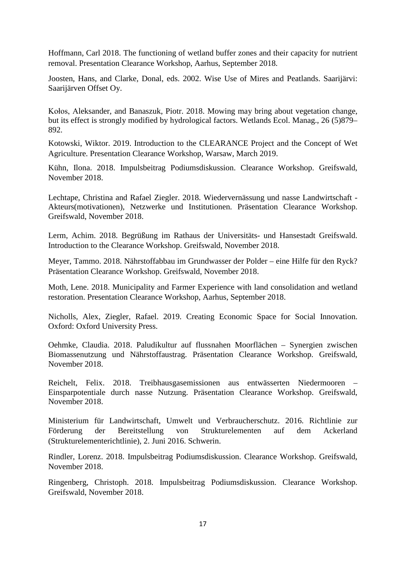Hoffmann, Carl 2018. The functioning of wetland buffer zones and their capacity for nutrient removal. Presentation Clearance Workshop, Aarhus, September 2018.

Joosten, Hans, and Clarke, Donal, eds. 2002. Wise Use of Mires and Peatlands. Saarijärvi: Saarijärven Offset Oy.

Kołos, Aleksander, and Banaszuk, Piotr. 2018. Mowing may bring about vegetation change, but its effect is strongly modified by hydrological factors. Wetlands Ecol. Manag., 26 (5)879– 892.

Kotowski, Wiktor. 2019. Introduction to the CLEARANCE Project and the Concept of Wet Agriculture. Presentation Clearance Workshop, Warsaw, March 2019.

Kühn, Ilona. 2018. Impulsbeitrag Podiumsdiskussion. Clearance Workshop. Greifswald, November 2018.

Lechtape, Christina and Rafael Ziegler. 2018. Wiedervernässung und nasse Landwirtschaft - Akteurs(motivationen), Netzwerke und Institutionen. Präsentation Clearance Workshop. Greifswald, November 2018.

Lerm, Achim. 2018. Begrüßung im Rathaus der Universitäts- und Hansestadt Greifswald. Introduction to the Clearance Workshop. Greifswald, November 2018.

Meyer, Tammo. 2018. Nährstoffabbau im Grundwasser der Polder – eine Hilfe für den Ryck? Präsentation Clearance Workshop. Greifswald, November 2018.

Moth, Lene. 2018. Municipality and Farmer Experience with land consolidation and wetland restoration. Presentation Clearance Workshop, Aarhus, September 2018.

Nicholls, Alex, Ziegler, Rafael. 2019. Creating Economic Space for Social Innovation. Oxford: Oxford University Press.

Oehmke, Claudia. 2018. Paludikultur auf flussnahen Moorflächen – Synergien zwischen Biomassenutzung und Nährstoffaustrag. Präsentation Clearance Workshop. Greifswald, November 2018.

Reichelt, Felix. 2018. Treibhausgasemissionen aus entwässerten Niedermooren – Einsparpotentiale durch nasse Nutzung. Präsentation Clearance Workshop. Greifswald, November 2018.

Ministerium für Landwirtschaft, Umwelt und Verbraucherschutz. 2016. Richtlinie zur Förderung der Bereitstellung von Strukturelementen auf dem Ackerland (Strukturelementerichtlinie), 2. Juni 2016. Schwerin.

Rindler, Lorenz. 2018. Impulsbeitrag Podiumsdiskussion. Clearance Workshop. Greifswald, November 2018.

Ringenberg, Christoph. 2018. Impulsbeitrag Podiumsdiskussion. Clearance Workshop. Greifswald, November 2018.